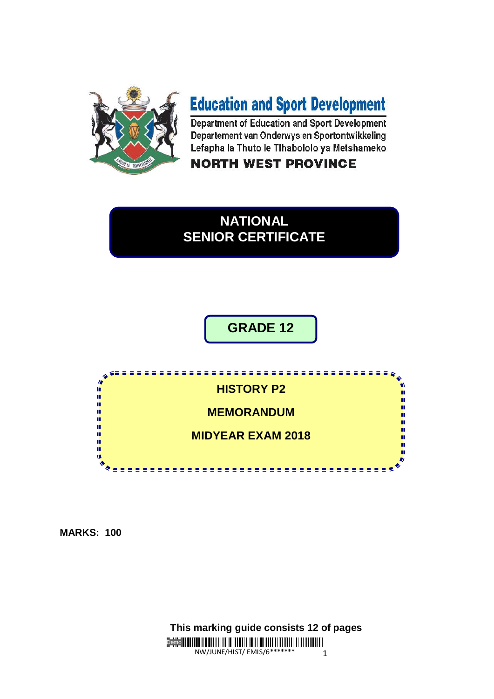

# **Education and Sport Development**

Department of Education and Sport Development Departement van Onderwys en Sportontwikkeling Lefapha la Thuto le Tihabololo ya Metshameko

**NORTH WEST PROVINCE** 

## **NATIONAL SENIOR CERTIFICATE**

**GRADE 12**



**MARKS: 100**

Demo NW/JUNE/HIST/ EMIS/6\*\*\*\*\*\*\* 1  **This marking guide consists 12 of pages**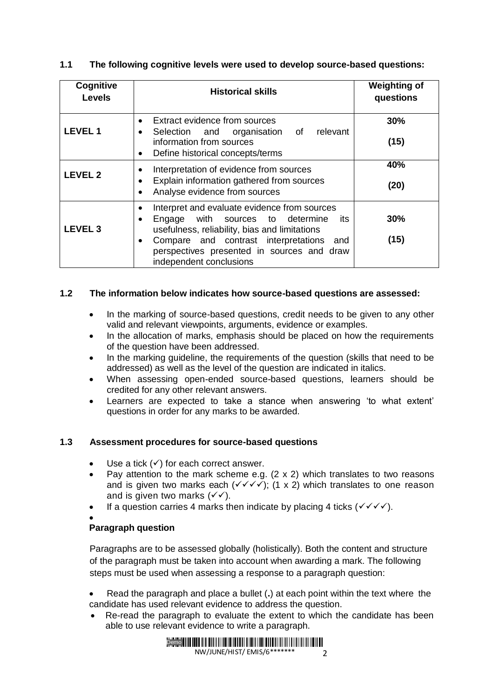| Cognitive<br><b>Levels</b> | <b>Historical skills</b>                                                                                                                                                                                                                                                                             | <b>Weighting of</b><br>questions |
|----------------------------|------------------------------------------------------------------------------------------------------------------------------------------------------------------------------------------------------------------------------------------------------------------------------------------------------|----------------------------------|
| <b>LEVEL1</b>              | Extract evidence from sources<br>$\bullet$<br>relevant<br>Selection and organisation of<br>$\bullet$<br>information from sources<br>Define historical concepts/terms<br>٠                                                                                                                            | 30%<br>(15)                      |
| <b>LEVEL 2</b>             | Interpretation of evidence from sources<br>Explain information gathered from sources<br>Analyse evidence from sources<br>$\bullet$                                                                                                                                                                   | 40%<br>(20)                      |
| LEVEL <sub>3</sub>         | Interpret and evaluate evidence from sources<br>$\bullet$<br>Engage with sources to determine<br>its<br>$\bullet$<br>usefulness, reliability, bias and limitations<br>Compare and contrast interpretations and<br>$\bullet$<br>perspectives presented in sources and draw<br>independent conclusions | 30%<br>(15)                      |

#### **1.1 The following cognitive levels were used to develop source-based questions:**

#### **1.2 The information below indicates how source-based questions are assessed:**

- In the marking of source-based questions, credit needs to be given to any other valid and relevant viewpoints, arguments, evidence or examples.
- In the allocation of marks, emphasis should be placed on how the requirements of the question have been addressed.
- In the marking guideline, the requirements of the question (skills that need to be addressed) as well as the level of the question are indicated in italics.
- When assessing open-ended source-based questions, learners should be credited for any other relevant answers.
- Learners are expected to take a stance when answering 'to what extent' questions in order for any marks to be awarded.

#### **1.3 Assessment procedures for source-based questions**

- Use a tick  $(\checkmark)$  for each correct answer.
- Pay attention to the mark scheme e.g.  $(2 \times 2)$  which translates to two reasons and is given two marks each  $(\sqrt{\sqrt{}})$ ; (1 x 2) which translates to one reason and is given two marks  $(\sqrt{\sqrt})$ .
- If a question carries 4 marks then indicate by placing 4 ticks  $(\sqrt{\sqrt{}})$ .

#### $\bullet$

#### **Paragraph question**

Paragraphs are to be assessed globally (holistically). Both the content and structure of the paragraph must be taken into account when awarding a mark. The following steps must be used when assessing a response to a paragraph question:

- Read the paragraph and place a bullet (**.**) at each point within the text where the candidate has used relevant evidence to address the question.
- Re-read the paragraph to evaluate the extent to which the candidate has been able to use relevant evidence to write a paragraph.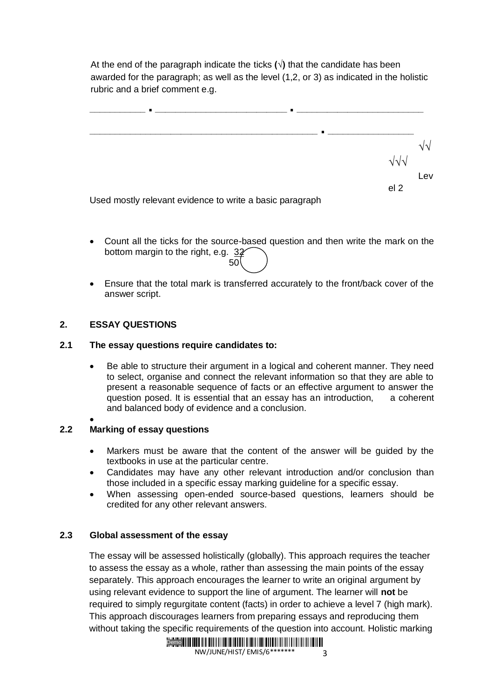At the end of the paragraph indicate the ticks  $(\sqrt{)}$  that the candidate has been awarded for the paragraph; as well as the level (1,2, or 3) as indicated in the holistic rubric and a brief comment e.g.



Used mostly relevant evidence to write a basic paragraph

- Count all the ticks for the source-based question and then write the mark on the bottom margin to the right, e.g. 32  $50$
- Ensure that the total mark is transferred accurately to the front/back cover of the answer script.

#### **2. ESSAY QUESTIONS**

#### **2.1 The essay questions require candidates to:**

 Be able to structure their argument in a logical and coherent manner. They need to select, organise and connect the relevant information so that they are able to present a reasonable sequence of facts or an effective argument to answer the question posed. It is essential that an essay has an introduction, a coherent and balanced body of evidence and a conclusion.

#### $\bullet$ **2.2 Marking of essay questions**

- Markers must be aware that the content of the answer will be guided by the textbooks in use at the particular centre.
- Candidates may have any other relevant introduction and/or conclusion than those included in a specific essay marking guideline for a specific essay.
- When assessing open-ended source-based questions, learners should be credited for any other relevant answers.

#### **2.3 Global assessment of the essay**

The essay will be assessed holistically (globally). This approach requires the teacher to assess the essay as a whole, rather than assessing the main points of the essay separately. This approach encourages the learner to write an original argument by using relevant evidence to support the line of argument. The learner will **not** be required to simply regurgitate content (facts) in order to achieve a level 7 (high mark). This approach discourages learners from preparing essays and reproducing them without taking the specific requirements of the question into account. Holistic marking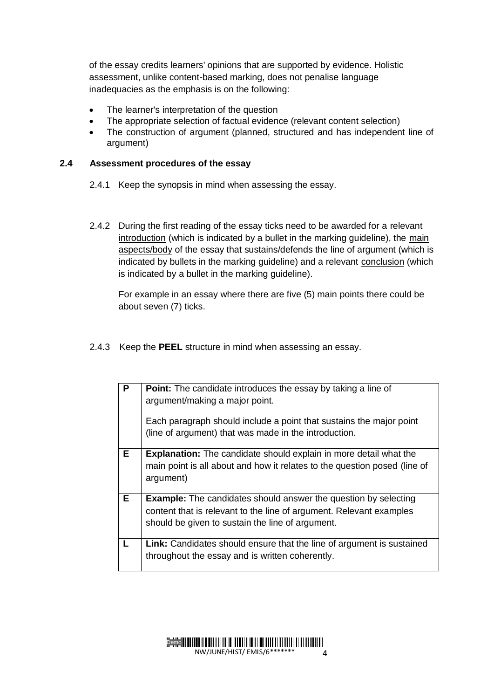of the essay credits learners' opinions that are supported by evidence. Holistic assessment, unlike content-based marking, does not penalise language inadequacies as the emphasis is on the following:

- The learner's interpretation of the question
- The appropriate selection of factual evidence (relevant content selection)
- The construction of argument (planned, structured and has independent line of argument)

#### **2.4 Assessment procedures of the essay**

- 2.4.1 Keep the synopsis in mind when assessing the essay.
- 2.4.2 During the first reading of the essay ticks need to be awarded for a relevant introduction (which is indicated by a bullet in the marking guideline), the main aspects/body of the essay that sustains/defends the line of argument (which is indicated by bullets in the marking guideline) and a relevant conclusion (which is indicated by a bullet in the marking guideline).

For example in an essay where there are five (5) main points there could be about seven (7) ticks.

2.4.3 Keep the **PEEL** structure in mind when assessing an essay.

| P  | <b>Point:</b> The candidate introduces the essay by taking a line of<br>argument/making a major point.                                                                                            |
|----|---------------------------------------------------------------------------------------------------------------------------------------------------------------------------------------------------|
|    | Each paragraph should include a point that sustains the major point<br>(line of argument) that was made in the introduction.                                                                      |
| Е. | <b>Explanation:</b> The candidate should explain in more detail what the<br>main point is all about and how it relates to the question posed (line of<br>argument)                                |
| Е  | <b>Example:</b> The candidates should answer the question by selecting<br>content that is relevant to the line of argument. Relevant examples<br>should be given to sustain the line of argument. |
|    | <b>Link:</b> Candidates should ensure that the line of argument is sustained<br>throughout the essay and is written coherently.                                                                   |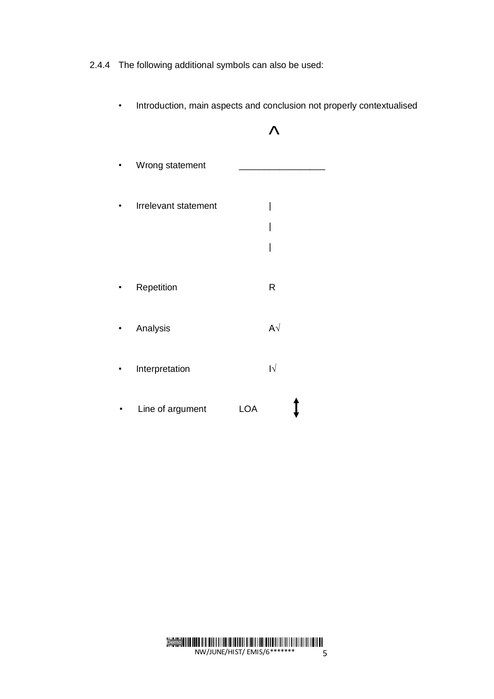2.4.4 The following additional symbols can also be used:

- $\Lambda$ Wrong statement • Irrelevant statement | | | • Repetition R • Analysis  $A\sqrt{a}$ • Interpretation I√ • Line of argument LOA
- Introduction, main aspects and conclusion not properly contextualised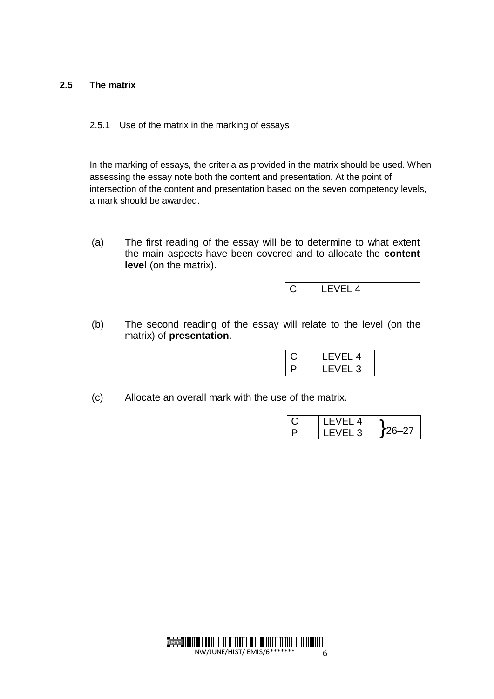#### **2.5 The matrix**

#### 2.5.1 Use of the matrix in the marking of essays

In the marking of essays, the criteria as provided in the matrix should be used. When assessing the essay note both the content and presentation. At the point of intersection of the content and presentation based on the seven competency levels, a mark should be awarded.

(a) The first reading of the essay will be to determine to what extent the main aspects have been covered and to allocate the **content level** (on the matrix).

| ∸ |  |
|---|--|
|   |  |

(b) The second reading of the essay will relate to the level (on the matrix) of **presentation**.

| LEVEL 4            |  |
|--------------------|--|
| LEVEL <sub>3</sub> |  |

(c) Allocate an overall mark with the use of the matrix.

| -VFI 4 |  |
|--------|--|
| FVFL3  |  |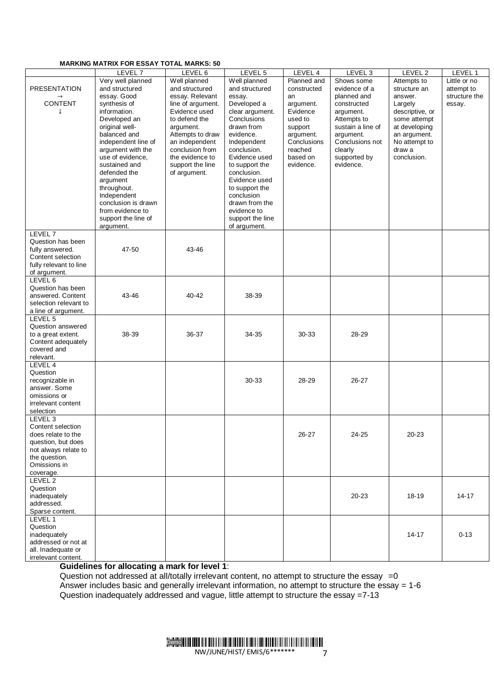#### **MARKING MATRIX FOR ESSAY TOTAL MARKS: 50**

|                        | LEVEL <sub>7</sub>  | LEVEL 6           | LEVEL 5          | LEVEL 4     | LEVEL <sub>3</sub> | LEVEL 2         | LEVEL 1       |
|------------------------|---------------------|-------------------|------------------|-------------|--------------------|-----------------|---------------|
|                        | Very well planned   | Well planned      | Well planned     | Planned and | Shows some         | Attempts to     | Little or no  |
| <b>PRESENTATION</b>    | and structured      | and structured    | and structured   | constructed | evidence of a      | structure an    | attempt to    |
|                        | essay. Good         | essay. Relevant   | essay.           | an          | planned and        | answer.         | structure the |
| CONTENT                | synthesis of        | line of argument. | Developed a      | argument.   | constructed        | Largely         | essay.        |
| J.                     | information.        | Evidence used     | clear argument.  | Evidence    | argument.          | descriptive, or |               |
|                        | Developed an        | to defend the     | Conclusions      | used to     | Attempts to        | some attempt    |               |
|                        | original well-      | argument.         | drawn from       | support     | sustain a line of  | at developing   |               |
|                        | balanced and        | Attempts to draw  | evidence.        | argument.   | argument.          | an argument.    |               |
|                        | independent line of | an independent    | Independent      | Conclusions | Conclusions not    | No attempt to   |               |
|                        | argument with the   | conclusion from   | conclusion.      | reached     | clearly            | draw a          |               |
|                        | use of evidence,    | the evidence to   | Evidence used    | based on    | supported by       | conclusion.     |               |
|                        | sustained and       | support the line  | to support the   | evidence.   | evidence.          |                 |               |
|                        | defended the        |                   |                  |             |                    |                 |               |
|                        |                     | of argument.      | conclusion.      |             |                    |                 |               |
|                        | argument            |                   | Evidence used    |             |                    |                 |               |
|                        | throughout.         |                   | to support the   |             |                    |                 |               |
|                        | Independent         |                   | conclusion       |             |                    |                 |               |
|                        | conclusion is drawn |                   | drawn from the   |             |                    |                 |               |
|                        | from evidence to    |                   | evidence to      |             |                    |                 |               |
|                        | support the line of |                   | support the line |             |                    |                 |               |
|                        | argument.           |                   | of argument.     |             |                    |                 |               |
| LEVEL 7                |                     |                   |                  |             |                    |                 |               |
| Question has been      |                     |                   |                  |             |                    |                 |               |
| fully answered.        | 47-50               | 43-46             |                  |             |                    |                 |               |
| Content selection      |                     |                   |                  |             |                    |                 |               |
| fully relevant to line |                     |                   |                  |             |                    |                 |               |
| of argument.           |                     |                   |                  |             |                    |                 |               |
| LEVEL 6                |                     |                   |                  |             |                    |                 |               |
| Question has been      |                     |                   |                  |             |                    |                 |               |
| answered. Content      | 43-46               | $40 - 42$         | 38-39            |             |                    |                 |               |
| selection relevant to  |                     |                   |                  |             |                    |                 |               |
| a line of argument.    |                     |                   |                  |             |                    |                 |               |
| LEVEL 5                |                     |                   |                  |             |                    |                 |               |
| Question answered      |                     |                   |                  |             |                    |                 |               |
| to a great extent.     | 38-39               | 36-37             | 34-35            | 30-33       | 28-29              |                 |               |
| Content adequately     |                     |                   |                  |             |                    |                 |               |
| covered and            |                     |                   |                  |             |                    |                 |               |
| relevant.              |                     |                   |                  |             |                    |                 |               |
| LEVEL 4                |                     |                   |                  |             |                    |                 |               |
| Question               |                     |                   |                  |             |                    |                 |               |
|                        |                     |                   |                  |             |                    |                 |               |
| recognizable in        |                     |                   | 30-33            | 28-29       | 26-27              |                 |               |
| answer. Some           |                     |                   |                  |             |                    |                 |               |
| omissions or           |                     |                   |                  |             |                    |                 |               |
| irrelevant content     |                     |                   |                  |             |                    |                 |               |
| selection              |                     |                   |                  |             |                    |                 |               |
| LEVEL <sub>3</sub>     |                     |                   |                  |             |                    |                 |               |
| Content selection      |                     |                   |                  |             |                    |                 |               |
| does relate to the     |                     |                   |                  | 26-27       | 24-25              | $20 - 23$       |               |
| question, but does     |                     |                   |                  |             |                    |                 |               |
| not always relate to   |                     |                   |                  |             |                    |                 |               |
| the question.          |                     |                   |                  |             |                    |                 |               |
| Omissions in           |                     |                   |                  |             |                    |                 |               |
| coverage.              |                     |                   |                  |             |                    |                 |               |
| LEVEL 2                |                     |                   |                  |             |                    |                 |               |
| Question               |                     |                   |                  |             |                    |                 |               |
| inadequately           |                     |                   |                  |             | $20 - 23$          | 18-19           | 14-17         |
| addressed.             |                     |                   |                  |             |                    |                 |               |
| Sparse content.        |                     |                   |                  |             |                    |                 |               |
| LEVEL 1                |                     |                   |                  |             |                    |                 |               |
| Question               |                     |                   |                  |             |                    |                 |               |
| inadequately           |                     |                   |                  |             |                    | 14-17           | $0 - 13$      |
| addressed or not at    |                     |                   |                  |             |                    |                 |               |
| all. Inadequate or     |                     |                   |                  |             |                    |                 |               |
| irrelevant content.    |                     |                   |                  |             |                    |                 |               |
|                        |                     |                   |                  |             |                    |                 |               |

**Guidelines for allocating a mark for level 1**:

Question not addressed at all/totally irrelevant content, no attempt to structure the essay =0 Answer includes basic and generally irrelevant information, no attempt to structure the essay = 1-6 Question inadequately addressed and vague, little attempt to structure the essay =7-13

> Demo NW/JUNE/HIST/ EMIS/6\*\*\*\*\*\*\* 7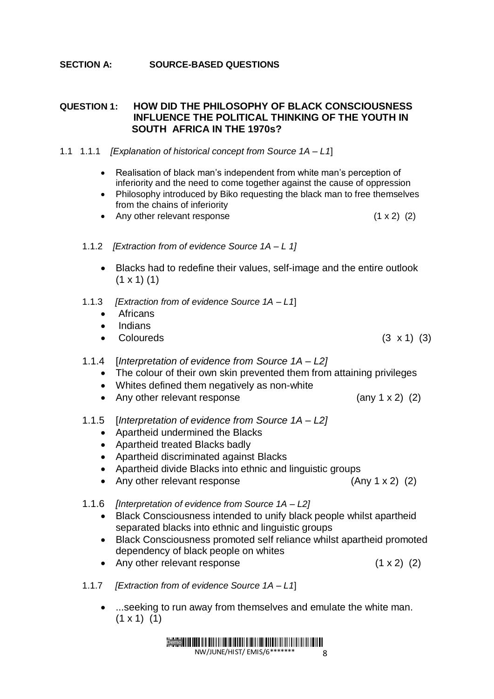#### **SECTION A: SOURCE-BASED QUESTIONS**

#### **QUESTION 1: HOW DID THE PHILOSOPHY OF BLACK CONSCIOUSNESS INFLUENCE THE POLITICAL THINKING OF THE YOUTH IN SOUTH AFRICA IN THE 1970s?**

#### 1.1 1.1.1 *[Explanation of historical concept from Source 1A – L1*]

- Realisation of black man's independent from white man's perception of inferiority and the need to come together against the cause of oppression
- Philosophy introduced by Biko requesting the black man to free themselves from the chains of inferiority
- Any other relevant response  $(1 \times 2)$   $(2)$
- 1.1.2 *[Extraction from of evidence Source 1A – L 1]*
	- Blacks had to redefine their values, self-image and the entire outlook  $(1 \times 1)$  (1)
- 1.1.3 *[Extraction from of evidence Source 1A – L1*]
	- Africans
	- Indians
	- Coloureds (3 x 1) (3)
- 1.1.4 [*Interpretation of evidence from Source 1A – L2]*
	- The colour of their own skin prevented them from attaining privileges
	- Whites defined them negatively as non-white
	- Any other relevant response (any 1 x 2) (2)
- 1.1.5 [*Interpretation of evidence from Source 1A – L2]*
	- Apartheid undermined the Blacks
	- Apartheid treated Blacks badly
	- Apartheid discriminated against Blacks
	- Apartheid divide Blacks into ethnic and linguistic groups
	- Any other relevant response (Any 1 x 2) (2)
- 1.1.6 *[Interpretation of evidence from Source 1A – L2]*
	- Black Consciousness intended to unify black people whilst apartheid separated blacks into ethnic and linguistic groups
	- Black Consciousness promoted self reliance whilst apartheid promoted dependency of black people on whites
	- Any other relevant response (1 x 2) (2)
- 1.1.7 *[Extraction from of evidence Source 1A – L1*]
	- ...seeking to run away from themselves and emulate the white man.  $(1 \times 1)$   $(1)$

Demo NW/JUNE/HIST/ EMIS/6\*\* 8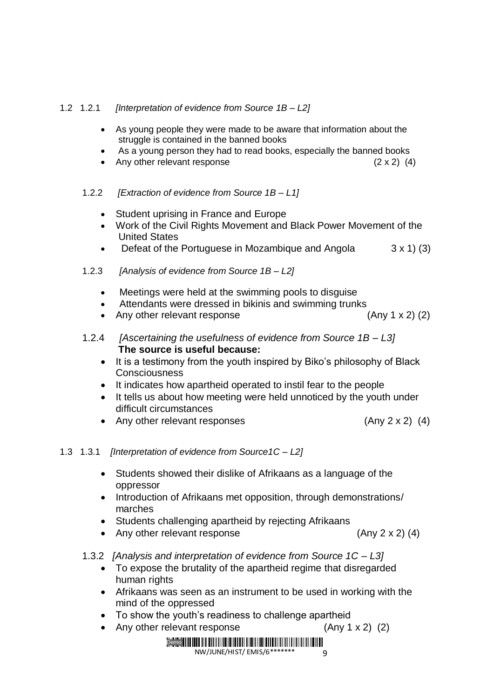#### 1.2 1.2.1 *[Interpretation of evidence from Source 1B – L2]*

- As young people they were made to be aware that information about the struggle is contained in the banned books
- As a young person they had to read books, especially the banned books
- Any other relevant response  $(2 \times 2)$  (4)

#### 1.2.2 *[Extraction of evidence from Source 1B – L1]*

- Student uprising in France and Europe
- Work of the Civil Rights Movement and Black Power Movement of the United States
- Defeat of the Portuguese in Mozambique and Angola  $3 \times 1$  (3)
- 1.2.3 *[Analysis of evidence from Source 1B – L2]*
	- Meetings were held at the swimming pools to disguise
	- Attendants were dressed in bikinis and swimming trunks
	- Any other relevant response (Any 1 x 2) (2)
- 1.2.4 *[Ascertaining the usefulness of evidence from Source 1B – L3]* **The source is useful because:**
	- It is a testimony from the youth inspired by Biko's philosophy of Black **Consciousness**
	- It indicates how apartheid operated to instil fear to the people
	- It tells us about how meeting were held unnoticed by the youth under difficult circumstances
	- Any other relevant responses (Any 2 x 2) (4)

#### 1.3 1.3.1 *[Interpretation of evidence from Source1C – L2]*

- Students showed their dislike of Afrikaans as a language of the oppressor
- Introduction of Afrikaans met opposition, through demonstrations/ marches
- Students challenging apartheid by rejecting Afrikaans
- Any other relevant response (Any 2 x 2) (4)
- 1.3.2 *[Analysis and interpretation of evidence from Source 1C – L3]*
	- To expose the brutality of the apartheid regime that disregarded human rights
	- Afrikaans was seen as an instrument to be used in working with the mind of the oppressed
	- To show the youth's readiness to challenge apartheid
	- Any other relevant response (Any 1 x 2) (2)

#### Demo **Harry Harry Harry Harry Harry Harry Harry Harry Harry Harry Harry Harry Harry**  $\alpha$

NW/JUNE/HIST/ EMIS/6\*\*\*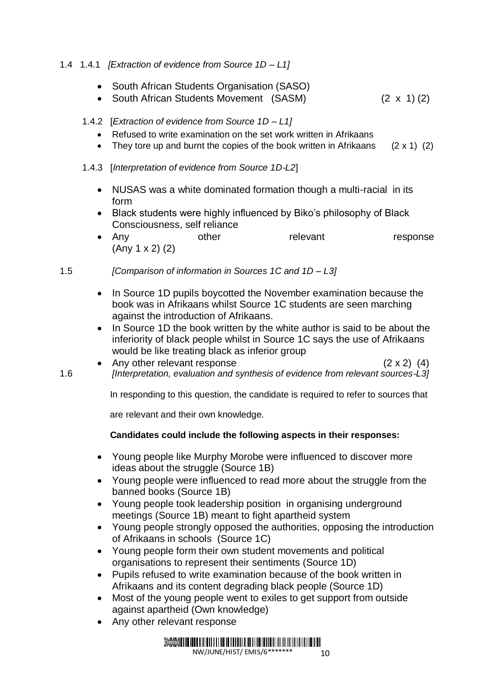#### 1.4 1.4.1 *[Extraction of evidence from Source 1D – L1]*

- South African Students Organisation (SASO)
- South African Students Movement (SASM) (2 x 1) (2)

#### 1.4.2 [*Extraction of evidence from Source 1D – L1]*

- Refused to write examination on the set work written in Afrikaans
- They tore up and burnt the copies of the book written in Afrikaans  $(2 \times 1)$  (2)

#### 1.4.3 [*Interpretation of evidence from Source 1D-L2*]

- NUSAS was a white dominated formation though a multi-racial in its form
- Black students were highly influenced by Biko's philosophy of Black Consciousness, self reliance
- Any other relevant response (Any 1 x 2) (2)

#### 1.5 *[Comparison of information in Sources 1C and 1D – L3]*

- In Source 1D pupils boycotted the November examination because the book was in Afrikaans whilst Source 1C students are seen marching against the introduction of Afrikaans.
- In Source 1D the book written by the white author is said to be about the inferiority of black people whilst in Source 1C says the use of Afrikaans would be like treating black as inferior group
- Any other relevant response (2 x 2) (4) 1.6 *[Interpretation, evaluation and synthesis of evidence from relevant sources-L3]*

In responding to this question, the candidate is required to refer to sources that

are relevant and their own knowledge.

#### **Candidates could include the following aspects in their responses:**

- Young people like Murphy Morobe were influenced to discover more ideas about the struggle (Source 1B)
- Young people were influenced to read more about the struggle from the banned books (Source 1B)
- Young people took leadership position in organising underground meetings (Source 1B) meant to fight apartheid system
- Young people strongly opposed the authorities, opposing the introduction of Afrikaans in schools (Source 1C)
- Young people form their own student movements and political organisations to represent their sentiments (Source 1D)
- Pupils refused to write examination because of the book written in Afrikaans and its content degrading black people (Source 1D)
- Most of the young people went to exiles to get support from outside against apartheid (Own knowledge)
- Any other relevant response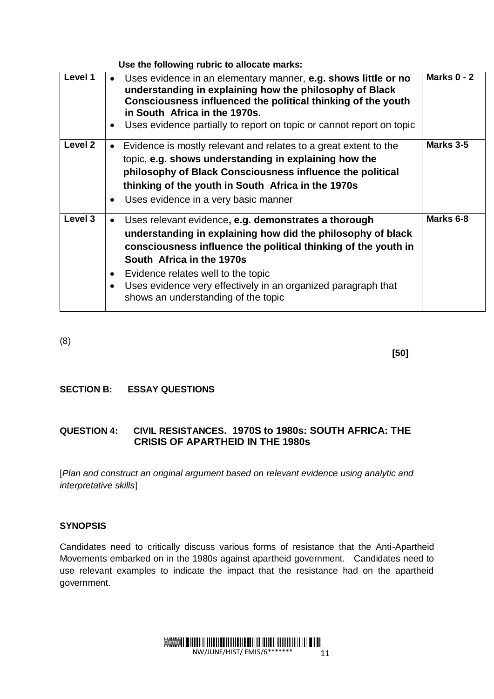|         | Use the following rubric to allocate marks:                                                                                                                                                                                                                                                                                                                                                             |               |
|---------|---------------------------------------------------------------------------------------------------------------------------------------------------------------------------------------------------------------------------------------------------------------------------------------------------------------------------------------------------------------------------------------------------------|---------------|
| Level 1 | Uses evidence in an elementary manner, e.g. shows little or no<br>$\bullet$<br>understanding in explaining how the philosophy of Black<br>Consciousness influenced the political thinking of the youth<br>in South Africa in the 1970s.<br>Uses evidence partially to report on topic or cannot report on topic<br>$\bullet$                                                                            | Marks $0 - 2$ |
| Level 2 | Evidence is mostly relevant and relates to a great extent to the<br>$\bullet$<br>topic, e.g. shows understanding in explaining how the<br>philosophy of Black Consciousness influence the political<br>thinking of the youth in South Africa in the 1970s<br>Uses evidence in a very basic manner<br>$\bullet$                                                                                          | Marks 3-5     |
| Level 3 | Uses relevant evidence, e.g. demonstrates a thorough<br>$\bullet$<br>understanding in explaining how did the philosophy of black<br>consciousness influence the political thinking of the youth in<br>South Africa in the 1970s<br>Evidence relates well to the topic<br>$\bullet$<br>Uses evidence very effectively in an organized paragraph that<br>$\bullet$<br>shows an understanding of the topic | Marks 6-8     |

(8)

 **[50]**

#### **SECTION B: ESSAY QUESTIONS**

### **QUESTION 4: CIVIL RESISTANCES. 1970S to 1980s: SOUTH AFRICA: THE CRISIS OF APARTHEID IN THE 1980s**

[*Plan and construct an original argument based on relevant evidence using analytic and interpretative skills*]

#### **SYNOPSIS**

Candidates need to critically discuss various forms of resistance that the Anti-Apartheid Movements embarked on in the 1980s against apartheid government. Candidates need to use relevant examples to indicate the impact that the resistance had on the apartheid government.